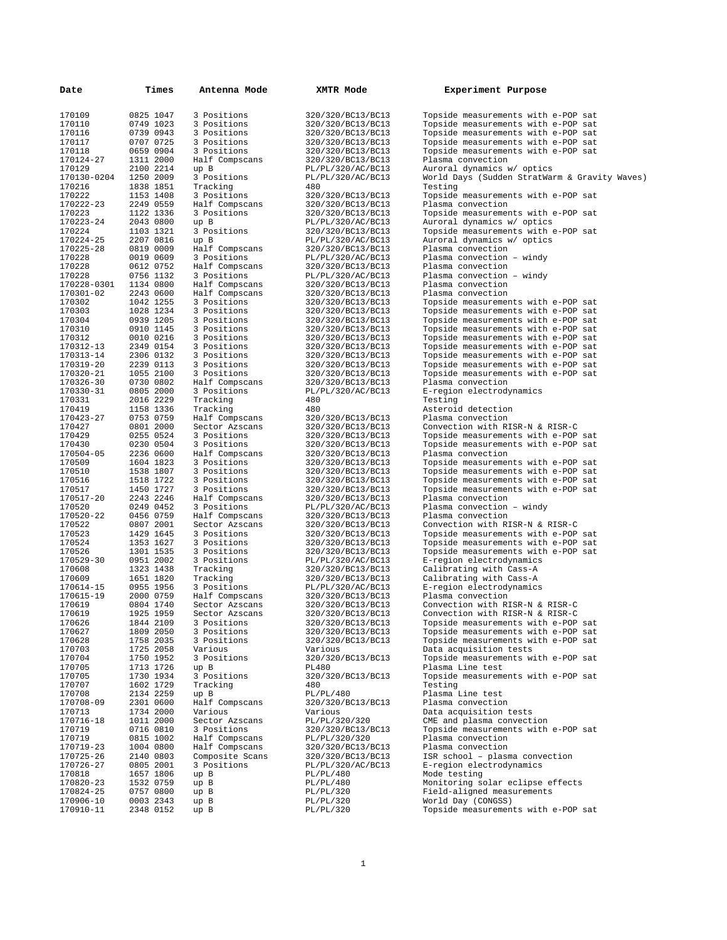| Date                | Times                  | Antenna Mode                  | XMTR Mode                              | Experiment Purpose                                                         |
|---------------------|------------------------|-------------------------------|----------------------------------------|----------------------------------------------------------------------------|
| 170109              | 0825 1047              | 3 Positions                   | 320/320/BC13/BC13                      | Topside measurements with e-POP sat                                        |
| 170110              | 0749 1023              | 3 Positions                   | 320/320/BC13/BC13                      | Topside measurements with e-POP sat                                        |
| 170116              | 0739 0943              | 3 Positions                   | 320/320/BC13/BC13                      | Topside measurements with e-POP sat                                        |
| 170117              | 0707 0725              | 3 Positions                   | 320/320/BC13/BC13                      | Topside measurements with e-POP sat                                        |
| 170118              | 0659 0904              | 3 Positions                   | 320/320/BC13/BC13                      | Topside measurements with e-POP sat                                        |
| 170124-27           | 1311 2000              | Half Compscans                | 320/320/BC13/BC13                      | Plasma convection                                                          |
| 170129              | 2100 2214              | up B                          | PL/PL/320/AC/BC13                      | Auroral dynamics w/ optics                                                 |
| 170130-0204         | 1250 2009              | 3 Positions                   | PL/PL/320/AC/BC13                      | World Days (Sudden StratWarm & Gravity Waves)                              |
| 170216              | 1838 1851              | Tracking                      | 480                                    | Testing                                                                    |
| 170222              | 1153 1408              | 3 Positions                   | 320/320/BC13/BC13                      | Topside measurements with e-POP sat                                        |
| 170222-23           | 2249 0559              | Half Compscans                | 320/320/BC13/BC13                      | Plasma convection                                                          |
| 170223              | 1122 1336              | 3 Positions                   | 320/320/BC13/BC13                      | Topside measurements with e-POP sat                                        |
| 170223-24           | 2043 0800              | up B                          | PL/PL/320/AC/BC13                      | Auroral dynamics w/ optics                                                 |
| 170224              | 1103 1321              | 3 Positions                   | 320/320/BC13/BC13                      | Topside measurements with e-POP sat                                        |
| 170224-25           | 2207 0816              | up B                          | PL/PL/320/AC/BC13                      | Auroral dynamics w/ optics                                                 |
| 170225-28<br>170228 | 0819 0009<br>0019 0609 | Half Compscans<br>3 Positions | 320/320/BC13/BC13<br>PL/PL/320/AC/BC13 | Plasma convection                                                          |
| 170228              | 0612 0752              | Half Compscans                | 320/320/BC13/BC13                      | Plasma convection - windy<br>Plasma convection                             |
| 170228              | 0756 1132              | 3 Positions                   | PL/PL/320/AC/BC13                      | Plasma convection - windy                                                  |
| 170228-0301         | 1134 0800              | Half Compscans                | 320/320/BC13/BC13                      | Plasma convection                                                          |
| 170301-02           | 2243 0600              | Half Compscans                | 320/320/BC13/BC13                      | Plasma convection                                                          |
| 170302              | 1042 1255              | 3 Positions                   | 320/320/BC13/BC13                      | Topside measurements with e-POP sat                                        |
| 170303              | 1028 1234              | 3 Positions                   | 320/320/BC13/BC13                      | Topside measurements with e-POP sat                                        |
| 170304              | 0939 1205              | 3 Positions                   | 320/320/BC13/BC13                      | Topside measurements with e-POP sat                                        |
| 170310              | 0910 1145              | 3 Positions                   | 320/320/BC13/BC13                      | Topside measurements with e-POP sat                                        |
| 170312              | 0010 0216              | 3 Positions                   | 320/320/BC13/BC13                      | Topside measurements with e-POP sat                                        |
| 170312-13           | 2349 0154              | 3 Positions                   | 320/320/BC13/BC13                      | Topside measurements with e-POP sat                                        |
| 170313-14           | 2306 0132              | 3 Positions                   | 320/320/BC13/BC13                      | Topside measurements with e-POP sat                                        |
| 170319-20           | 2239 0113              | 3 Positions                   | 320/320/BC13/BC13                      | Topside measurements with e-POP sat                                        |
| 170320-21           | 1055 2100              | 3 Positions                   | 320/320/BC13/BC13                      | Topside measurements with e-POP sat                                        |
| 170326-30           | 0730 0802              | Half Compscans                | 320/320/BC13/BC13                      | Plasma convection                                                          |
| 170330-31           | 0805 2000              | 3 Positions                   | PL/PL/320/AC/BC13                      | E-region electrodynamics                                                   |
| 170331              | 2016 2229              | Tracking                      | 480                                    | Testing                                                                    |
| 170419              | 1158 1336              | Tracking                      | 480                                    | Asteroid detection                                                         |
| 170423-27           | 0753 0759              | Half Compscans                | 320/320/BC13/BC13                      | Plasma convection                                                          |
| 170427<br>170429    | 0801 2000<br>0255 0524 | Sector Azscans<br>3 Positions | 320/320/BC13/BC13<br>320/320/BC13/BC13 | Convection with RISR-N & RISR-C                                            |
| 170430              | 0230 0504              | 3 Positions                   | 320/320/BC13/BC13                      | Topside measurements with e-POP sat<br>Topside measurements with e-POP sat |
| 170504-05           | 2236 0600              | Half Compscans                | 320/320/BC13/BC13                      | Plasma convection                                                          |
| 170509              | 1604 1823              | 3 Positions                   | 320/320/BC13/BC13                      | Topside measurements with e-POP sat                                        |
| 170510              | 1538 1807              | 3 Positions                   | 320/320/BC13/BC13                      | Topside measurements with e-POP sat                                        |
| 170516              | 1518 1722              | 3 Positions                   | 320/320/BC13/BC13                      | Topside measurements with e-POP sat                                        |
| 170517              | 1450 1727              | 3 Positions                   | 320/320/BC13/BC13                      | Topside measurements with e-POP sat                                        |
| 170517-20           | 2243 2246              | Half Compscans                | 320/320/BC13/BC13                      | Plasma convection                                                          |
| 170520              | 0249 0452              | 3 Positions                   | PL/PL/320/AC/BC13                      | Plasma convection - windy                                                  |
| 170520-22           | 0456 0759              | Half Compscans                | 320/320/BC13/BC13                      | Plasma convection                                                          |
| 170522              | 0807 2001              | Sector Azscans                | 320/320/BC13/BC13                      | Convection with RISR-N & RISR-C                                            |
| 170523<br>170524    | 1429 1645<br>1353 1627 | 3 Positions<br>3 Positions    | 320/320/BC13/BC13<br>320/320/BC13/BC13 | Topside measurements with e-POP sat<br>Topside measurements with e-POP sat |
| 170526              | 1301 1535              | 3 Positions                   | 320/320/BC13/BC13                      | Topside measurements with e-POP sat                                        |
| 170529-30           | 0951 2002              | 3 Positions                   | PL/PL/320/AC/BC13                      | E-region electrodynamics                                                   |
| 170608              | 1323 1438              | Tracking                      | 320/320/BC13/BC13                      | Calibrating with Cass-A                                                    |
| 170609              | 1651 1820              | Tracking                      | 320/320/BC13/BC13                      | Calibrating with Cass-A                                                    |
| 170614-15           | 0955 1956              | 3 Positions                   | PL/PL/320/AC/BC13                      | E-region electrodynamics                                                   |
| 170615-19           | 2000 0759              | Half Compscans                | 320/320/BC13/BC13                      | Plasma convection                                                          |
| 170619              | 0804 1740              | Sector Azscans                | 320/320/BC13/BC13                      | Convection with RISR-N & RISR-C                                            |
| 170619              | 1925 1959              | Sector Azscans                | 320/320/BC13/BC13                      | Convection with RISR-N & RISR-C                                            |
| 170626              | 1844 2109              | 3 Positions                   | 320/320/BC13/BC13                      | Topside measurements with e-POP sat                                        |
| 170627              | 1809 2050              | 3 Positions                   | 320/320/BC13/BC13                      | Topside measurements with e-POP sat                                        |
| 170628              | 1758 2035              | 3 Positions                   | 320/320/BC13/BC13                      | Topside measurements with e-POP sat                                        |
| 170703              | 1725 2058              | Various                       | Various                                | Data acquisition tests                                                     |
| 170704<br>170705    | 1750 1952<br>1713 1726 | 3 Positions<br>up B           | 320/320/BC13/BC13<br><b>PL480</b>      | Topside measurements with e-POP sat<br>Plasma Line test                    |
| 170705              | 1730 1934              | 3 Positions                   | 320/320/BC13/BC13                      | Topside measurements with e-POP sat                                        |
| 170707              | 1602 1729              | Tracking                      | 480                                    | Testing                                                                    |
| 170708              | 2134 2259              | up B                          | PL/PL/480                              | Plasma Line test                                                           |
| 170708-09           | 2301 0600              | Half Compscans                | 320/320/BC13/BC13                      | Plasma convection                                                          |
| 170713              | 1734 2000              | Various                       | Various                                | Data acquisition tests                                                     |
| 170716-18           | 1011 2000              | Sector Azscans                | PL/PL/320/320                          | CME and plasma convection                                                  |
| 170719              | 0716 0810              | 3 Positions                   | 320/320/BC13/BC13                      | Topside measurements with e-POP sat                                        |
| 170719              | 0815 1002              | Half Compscans                | PL/PL/320/320                          | Plasma convection                                                          |
| 170719-23           | 1004 0800              | Half Compscans                | 320/320/BC13/BC13                      | Plasma convection                                                          |
| 170725-26           | 2140 0803              | Composite Scans               | 320/320/BC13/BC13                      | ISR school - plasma convection                                             |
| 170726-27           | 0805 2001              | 3 Positions                   | PL/PL/320/AC/BC13                      | E-region electrodynamics                                                   |
| 170818<br>170820-23 | 1657 1806<br>1532 0759 | up B<br>up B                  | PL/PL/480<br>PL/PL/480                 | Mode testing<br>Monitoring solar eclipse effects                           |
| 170824-25           | 0757 0800              | up B                          | PL/PL/320                              | Field-aligned measurements                                                 |
| 170906-10           | 0003 2343              | up B                          | PL/PL/320                              | World Day (CONGSS)                                                         |
| 170910-11           | 2348 0152              | up B                          | PL/PL/320                              | Topside measurements with e-POP sat                                        |
|                     |                        |                               |                                        |                                                                            |